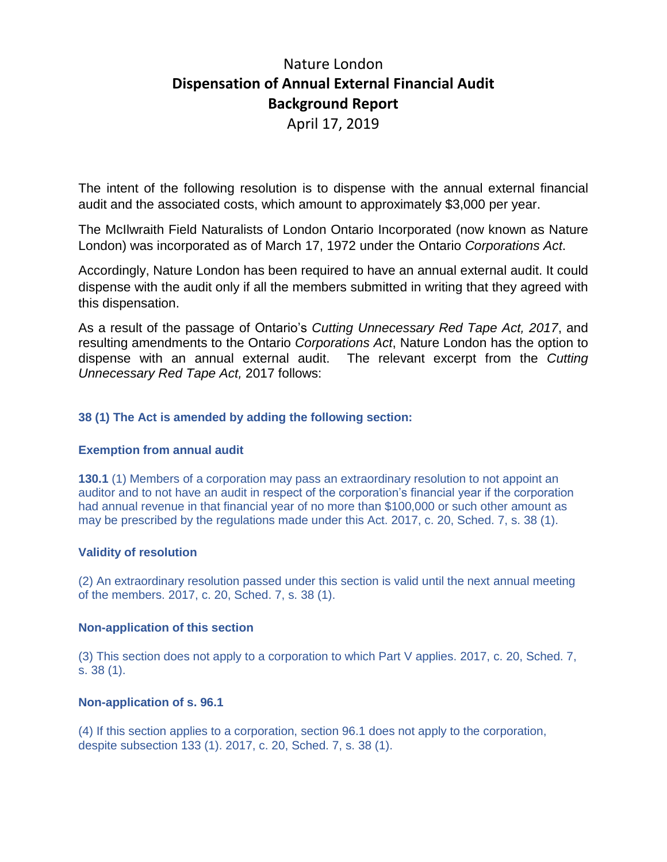# Nature London **Dispensation of Annual External Financial Audit Background Report**

April 17, 2019

The intent of the following resolution is to dispense with the annual external financial audit and the associated costs, which amount to approximately \$3,000 per year.

The McIlwraith Field Naturalists of London Ontario Incorporated (now known as Nature London) was incorporated as of March 17, 1972 under the Ontario *Corporations Act*.

Accordingly, Nature London has been required to have an annual external audit. It could dispense with the audit only if all the members submitted in writing that they agreed with this dispensation.

As a result of the passage of Ontario's *Cutting Unnecessary Red Tape Act, 2017*, and resulting amendments to the Ontario *Corporations Act*, Nature London has the option to dispense with an annual external audit. The relevant excerpt from the *Cutting Unnecessary Red Tape Act,* 2017 follows:

## **38 (1) The Act is amended by adding the following section:**

#### **Exemption from annual audit**

**130.1** (1) Members of a corporation may pass an extraordinary resolution to not appoint an auditor and to not have an audit in respect of the corporation's financial year if the corporation had annual revenue in that financial year of no more than \$100,000 or such other amount as may be prescribed by the regulations made under this Act. 2017, c. 20, Sched. 7, s. 38 (1).

#### **Validity of resolution**

(2) An extraordinary resolution passed under this section is valid until the next annual meeting of the members. 2017, c. 20, Sched. 7, s. 38 (1).

#### **Non-application of this section**

(3) This section does not apply to a corporation to which Part V applies. 2017, c. 20, Sched. 7, s. 38 (1).

#### **Non-application of s. 96.1**

(4) If this section applies to a corporation, section 96.1 does not apply to the corporation, despite subsection 133 (1). 2017, c. 20, Sched. 7, s. 38 (1).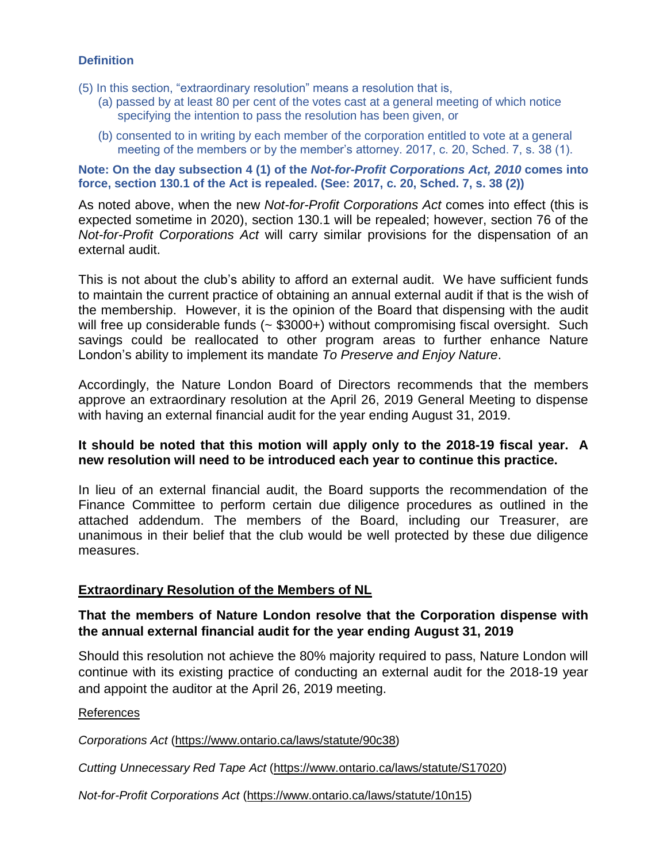### **Definition**

- (5) In this section, "extraordinary resolution" means a resolution that is,
	- (a) passed by at least 80 per cent of the votes cast at a general meeting of which notice specifying the intention to pass the resolution has been given, or
	- (b) consented to in writing by each member of the corporation entitled to vote at a general meeting of the members or by the member's attorney. 2017, c. 20, Sched. 7, s. 38 (1).

**Note: On the day subsection 4 (1) of the** *Not-for-Profit Corporations Act, 2010* **comes into force, section 130.1 of the Act is repealed. (See: 2017, c. 20, Sched. 7, s. 38 (2))**

As noted above, when the new *Not-for-Profit Corporations Act* comes into effect (this is expected sometime in 2020), section 130.1 will be repealed; however, section 76 of the *Not-for-Profit Corporations Act* will carry similar provisions for the dispensation of an external audit.

This is not about the club's ability to afford an external audit. We have sufficient funds to maintain the current practice of obtaining an annual external audit if that is the wish of the membership. However, it is the opinion of the Board that dispensing with the audit will free up considerable funds (~ \$3000+) without compromising fiscal oversight. Such savings could be reallocated to other program areas to further enhance Nature London's ability to implement its mandate *To Preserve and Enjoy Nature*.

Accordingly, the Nature London Board of Directors recommends that the members approve an extraordinary resolution at the April 26, 2019 General Meeting to dispense with having an external financial audit for the year ending August 31, 2019.

### **It should be noted that this motion will apply only to the 2018-19 fiscal year. A new resolution will need to be introduced each year to continue this practice.**

In lieu of an external financial audit, the Board supports the recommendation of the Finance Committee to perform certain due diligence procedures as outlined in the attached addendum. The members of the Board, including our Treasurer, are unanimous in their belief that the club would be well protected by these due diligence measures.

## **Extraordinary Resolution of the Members of NL**

# **That the members of Nature London resolve that the Corporation dispense with the annual external financial audit for the year ending August 31, 2019**

Should this resolution not achieve the 80% majority required to pass, Nature London will continue with its existing practice of conducting an external audit for the 2018-19 year and appoint the auditor at the April 26, 2019 meeting.

References

*Corporations Act* [\(https://www.ontario.ca/laws/statute/90c38\)](https://www.ontario.ca/laws/statute/90c38)

*Cutting Unnecessary Red Tape Act* [\(https://www.ontario.ca/laws/statute/S17020\)](https://www.ontario.ca/laws/statute/S17020)

*Not-for-Profit Corporations Act* [\(https://www.ontario.ca/laws/statute/10n15\)](https://www.ontario.ca/laws/statute/10n15)